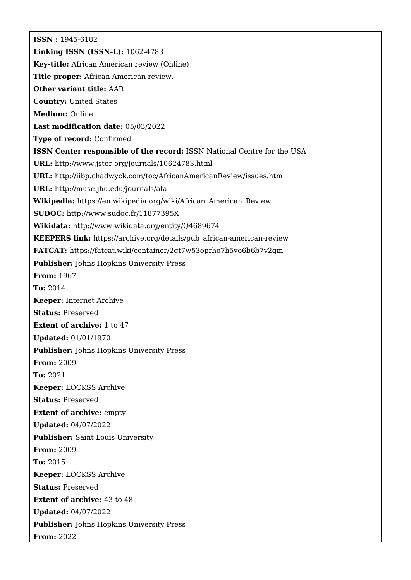**ISSN :** 1945-6182 **Linking ISSN (ISSN-L):** 1062-4783 **Key-title:** African American review (Online) **Title proper:** African American review. **Other variant title:** AAR **Country:** United States **Medium:** Online **Last modification date:** 05/03/2022 **Type of record:** Confirmed **ISSN Center responsible of the record:** ISSN National Centre for the USA **URL:** <http://www.jstor.org/journals/10624783.html> **URL:** <http://iibp.chadwyck.com/toc/AfricanAmericanReview/issues.htm> **URL:** <http://muse.jhu.edu/journals/afa> **Wikipedia:** [https://en.wikipedia.org/wiki/African\\_American\\_Review](https://en.wikipedia.org/wiki/African_American_Review) **SUDOC:** <http://www.sudoc.fr/11877395X> **Wikidata:** <http://www.wikidata.org/entity/Q4689674> **KEEPERS link:** [https://archive.org/details/pub\\_african-american-review](https://archive.org/details/pub_african-american-review) **FATCAT:** <https://fatcat.wiki/container/2qt7w53oprho7h5vo6b6b7v2qm> **Publisher:** Johns Hopkins University Press **From:** 1967 **To:** 2014 **Keeper:** Internet Archive **Status:** Preserved **Extent of archive:** 1 to 47 **Updated:** 01/01/1970 **Publisher:** Johns Hopkins University Press **From:** 2009 **To:** 2021 **Keeper:** LOCKSS Archive **Status:** Preserved **Extent of archive: empty Updated:** 04/07/2022 **Publisher:** Saint Louis University **From:** 2009 **To:** 2015 **Keeper:** LOCKSS Archive **Status:** Preserved **Extent of archive:** 43 to 48 **Updated:** 04/07/2022 **Publisher:** Johns Hopkins University Press **From:** 2022